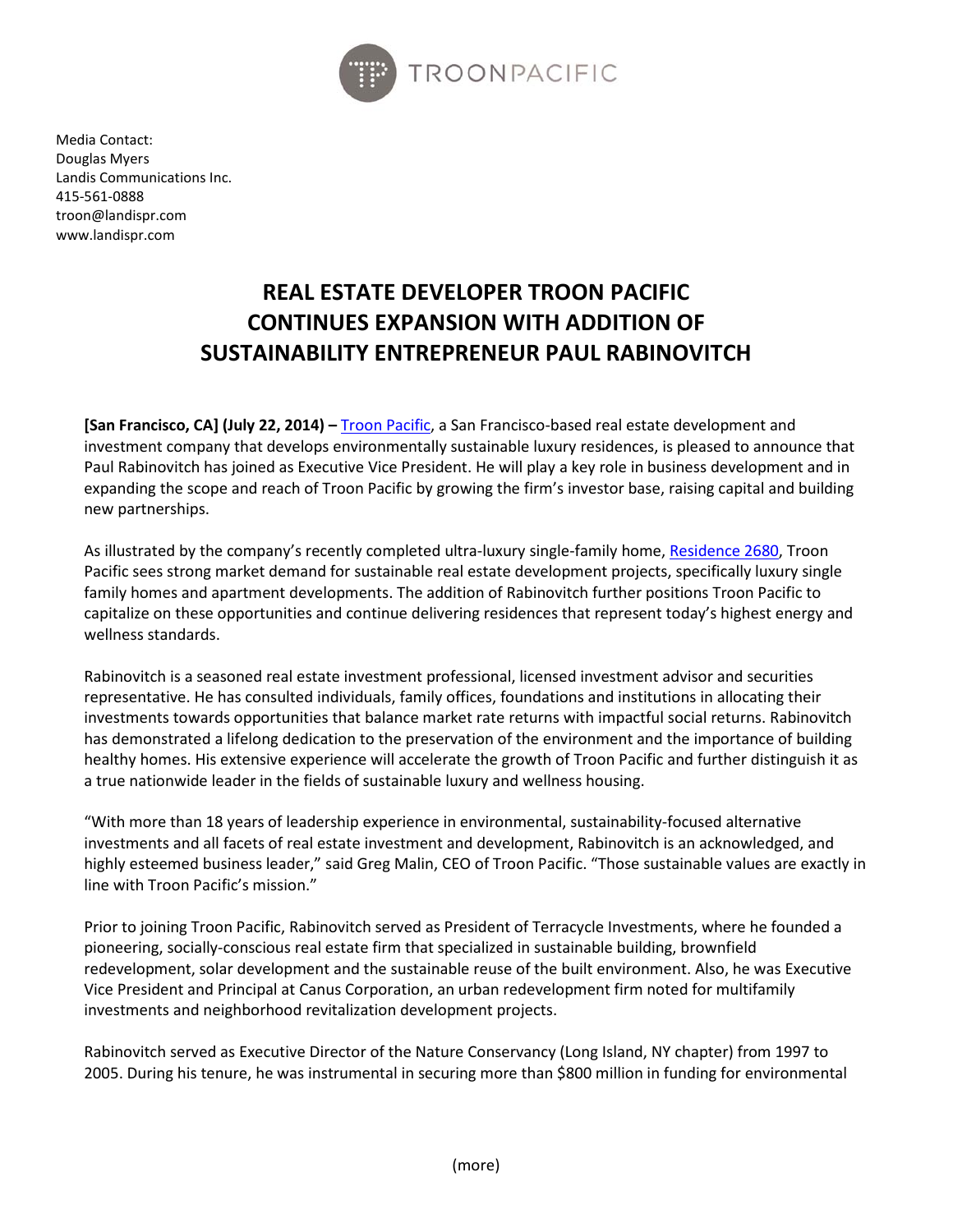

Media Contact: Douglas Myers Landis Communications Inc. 415-561-0888 troon@landispr.com www.landispr.com

## **REAL ESTATE DEVELOPER TROON PACIFIC CONTINUES EXPANSION WITH ADDITION OF SUSTAINABILITY ENTREPRENEUR PAUL RABINOVITCH**

**[San Francisco, CA] (July 22, 2014) –** [Troon Pacific,](http://www.troonpacific.com/) a San Francisco-based real estate development and investment company that develops environmentally sustainable luxury residences, is pleased to announce that Paul Rabinovitch has joined as Executive Vice President. He will play a key role in business development and in expanding the scope and reach of Troon Pacific by growing the firm's investor base, raising capital and building new partnerships.

As illustrated by the company's recently completed ultra-luxury single-family home, [Residence 2680,](http://residence2680.com/) Troon Pacific sees strong market demand for sustainable real estate development projects, specifically luxury single family homes and apartment developments. The addition of Rabinovitch further positions Troon Pacific to capitalize on these opportunities and continue delivering residences that represent today's highest energy and wellness standards.

Rabinovitch is a seasoned real estate investment professional, licensed investment advisor and securities representative. He has consulted individuals, family offices, foundations and institutions in allocating their investments towards opportunities that balance market rate returns with impactful social returns. Rabinovitch has demonstrated a lifelong dedication to the preservation of the environment and the importance of building healthy homes. His extensive experience will accelerate the growth of Troon Pacific and further distinguish it as a true nationwide leader in the fields of sustainable luxury and wellness housing.

"With more than 18 years of leadership experience in environmental, sustainability-focused alternative investments and all facets of real estate investment and development, Rabinovitch is an acknowledged, and highly esteemed business leader," said Greg Malin, CEO of Troon Pacific. "Those sustainable values are exactly in line with Troon Pacific's mission."

Prior to joining Troon Pacific, Rabinovitch served as President of Terracycle Investments, where he founded a pioneering, socially-conscious real estate firm that specialized in sustainable building, brownfield redevelopment, solar development and the sustainable reuse of the built environment. Also, he was Executive Vice President and Principal at Canus Corporation, an urban redevelopment firm noted for multifamily investments and neighborhood revitalization development projects.

Rabinovitch served as Executive Director of the Nature Conservancy (Long Island, NY chapter) from 1997 to 2005. During his tenure, he was instrumental in securing more than \$800 million in funding for environmental